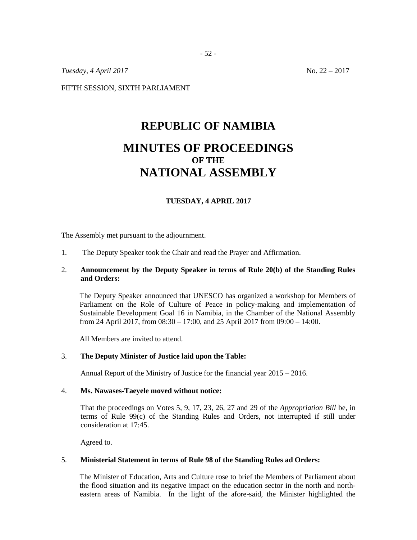*Tuesday, 4 April 2017* No. 22 – 2017

FIFTH SESSION, SIXTH PARLIAMENT

# **REPUBLIC OF NAMIBIA MINUTES OF PROCEEDINGS OF THE NATIONAL ASSEMBLY**

# **TUESDAY, 4 APRIL 2017**

The Assembly met pursuant to the adjournment.

1. The Deputy Speaker took the Chair and read the Prayer and Affirmation.

# 2. **Announcement by the Deputy Speaker in terms of Rule 20(b) of the Standing Rules and Orders:**

The Deputy Speaker announced that UNESCO has organized a workshop for Members of Parliament on the Role of Culture of Peace in policy-making and implementation of Sustainable Development Goal 16 in Namibia, in the Chamber of the National Assembly from 24 April 2017, from 08:30 – 17:00, and 25 April 2017 from 09:00 – 14:00.

All Members are invited to attend.

#### 3. **The Deputy Minister of Justice laid upon the Table:**

Annual Report of the Ministry of Justice for the financial year 2015 – 2016.

#### 4. **Ms. Nawases-Taeyele moved without notice:**

That the proceedings on Votes 5, 9, 17, 23, 26, 27 and 29 of the *Appropriation Bill* be, in terms of Rule 99(c) of the Standing Rules and Orders, not interrupted if still under consideration at 17:45.

Agreed to.

#### 5. **Ministerial Statement in terms of Rule 98 of the Standing Rules ad Orders:**

The Minister of Education, Arts and Culture rose to brief the Members of Parliament about the flood situation and its negative impact on the education sector in the north and northeastern areas of Namibia. In the light of the afore-said, the Minister highlighted the